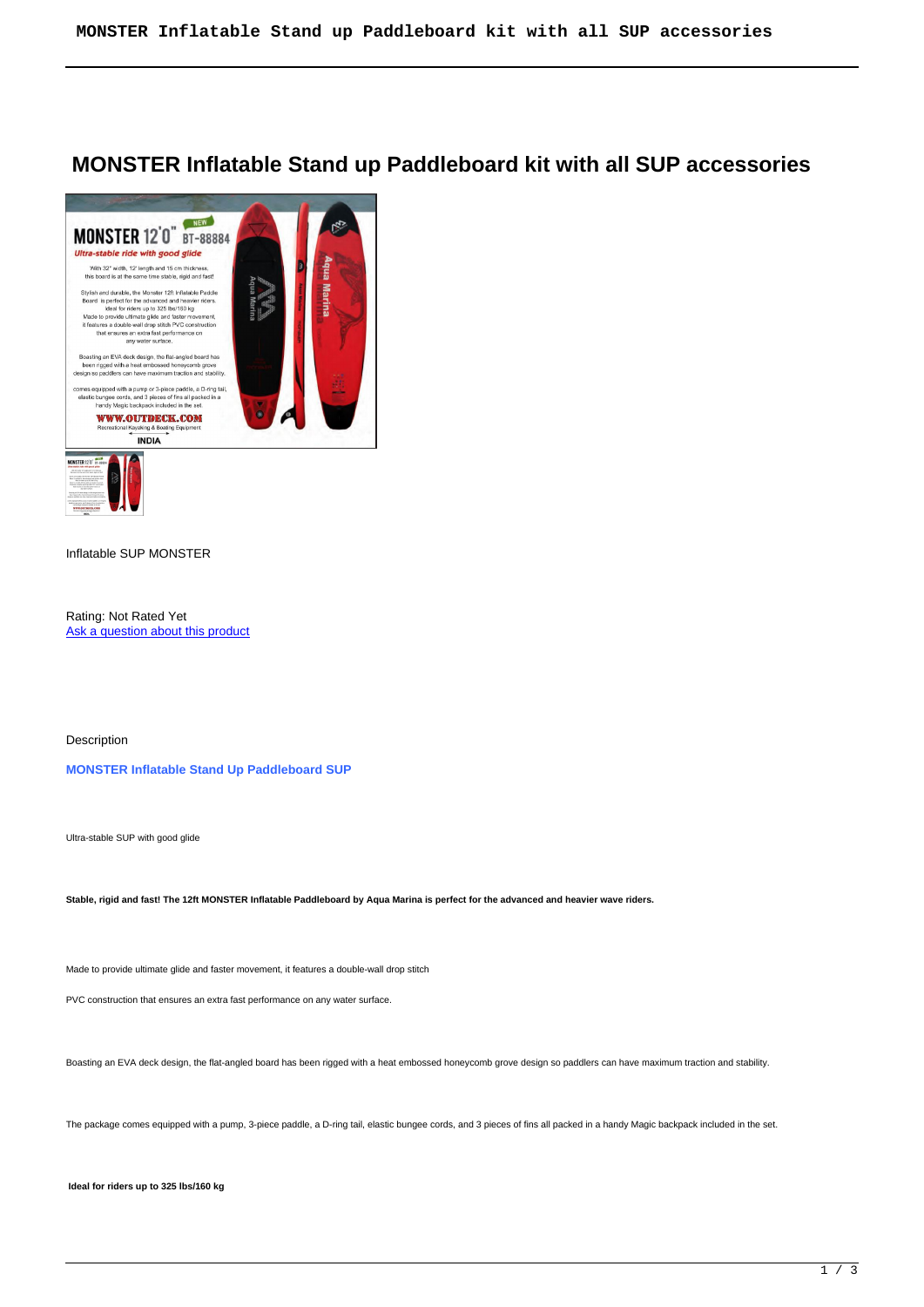# **MONSTER Inflatable Stand up Paddleboard kit with all SUP accessories**



## Inflatable SUP MONSTER

Rating: Not Rated Yet Ask a question about this product

Description

**MONSTER Inflatable Stand Up Paddleboard SUP**

Ultra-stable SUP with good glide

**Stable, rigid and fast! The 12ft MONSTER Inflatable Paddleboard by Aqua Marina is perfect for the advanced and heavier wave riders.**

Made to provide ultimate glide and faster movement, it features a double-wall drop stitch

PVC construction that ensures an extra fast performance on any water surface.

Boasting an EVA deck design, the flat-angled board has been rigged with a heat embossed honeycomb grove design so paddlers can have maximum traction and stability.

The package comes equipped with a pump, 3-piece paddle, a D-ring tail, elastic bungee cords, and 3 pieces of fins all packed in a handy Magic backpack included in the set.

**Ideal for riders up to 325 lbs/160 kg**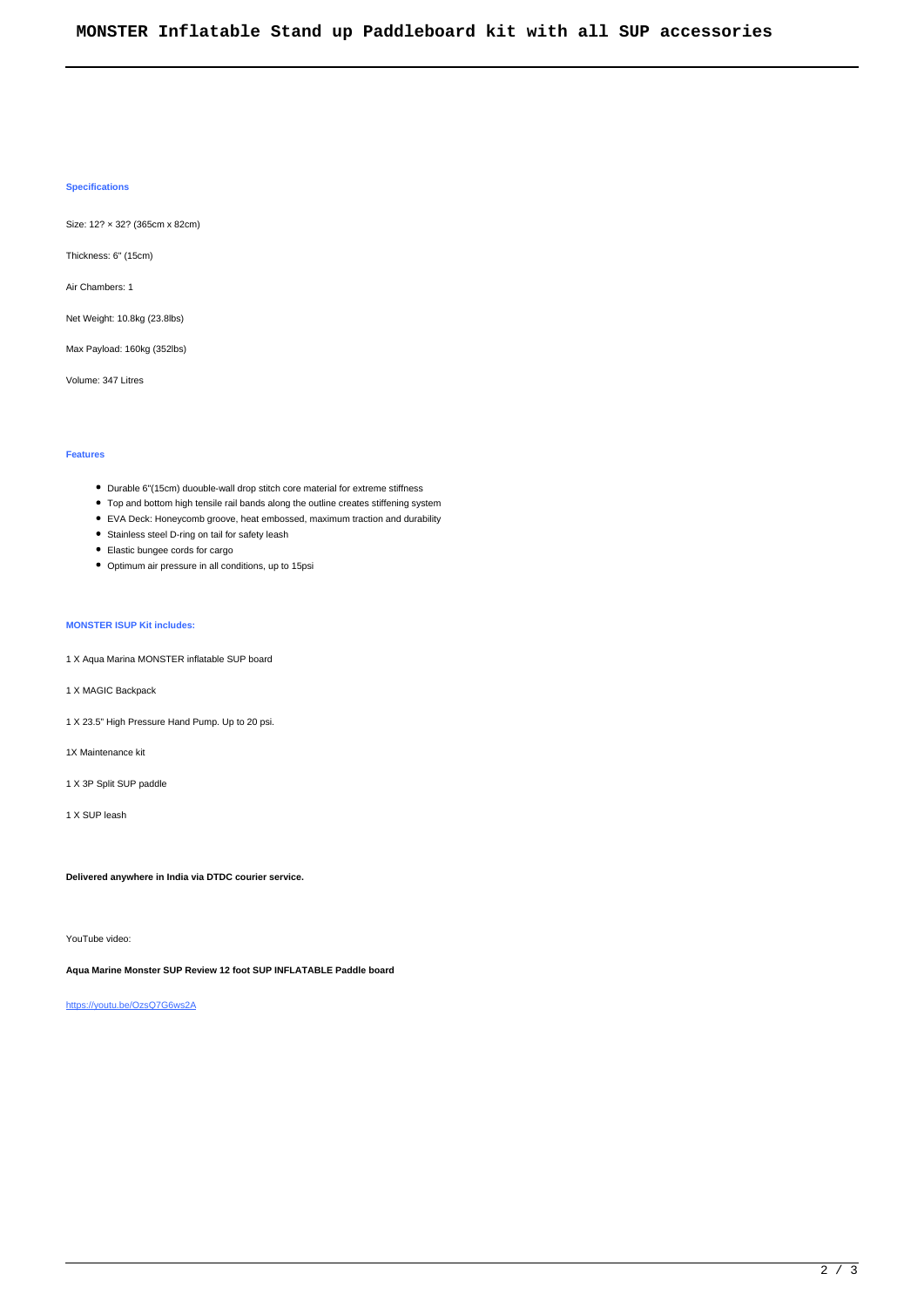### **Specifications**

Size: 12? × 32? (365cm x 82cm)

Thickness: 6" (15cm)

Air Chambers: 1

Net Weight: 10.8kg (23.8lbs)

Max Payload: 160kg (352lbs)

Volume: 347 Litres

### **Features**

- Durable 6"(15cm) duouble-wall drop stitch core material for extreme stiffness
- Top and bottom high tensile rail bands along the outline creates stiffening system
- EVA Deck: Honeycomb groove, heat embossed, maximum traction and durability
- Stainless steel D-ring on tail for safety leash
- Elastic bungee cords for cargo
- Optimum air pressure in all conditions, up to 15psi

## **MONSTER ISUP Kit includes:**

- 1 X Aqua Marina MONSTER inflatable SUP board
- 1 X MAGIC Backpack
- 1 X 23.5" High Pressure Hand Pump. Up to 20 psi.
- 1X Maintenance kit
- 1 X 3P Split SUP paddle
- 1 X SUP leash

**Delivered anywhere in India via DTDC courier service.**

YouTube video:

**Aqua Marine Monster SUP Review 12 foot SUP INFLATABLE Paddle board** 

<https://youtu.be/OzsQ7G6ws2A>